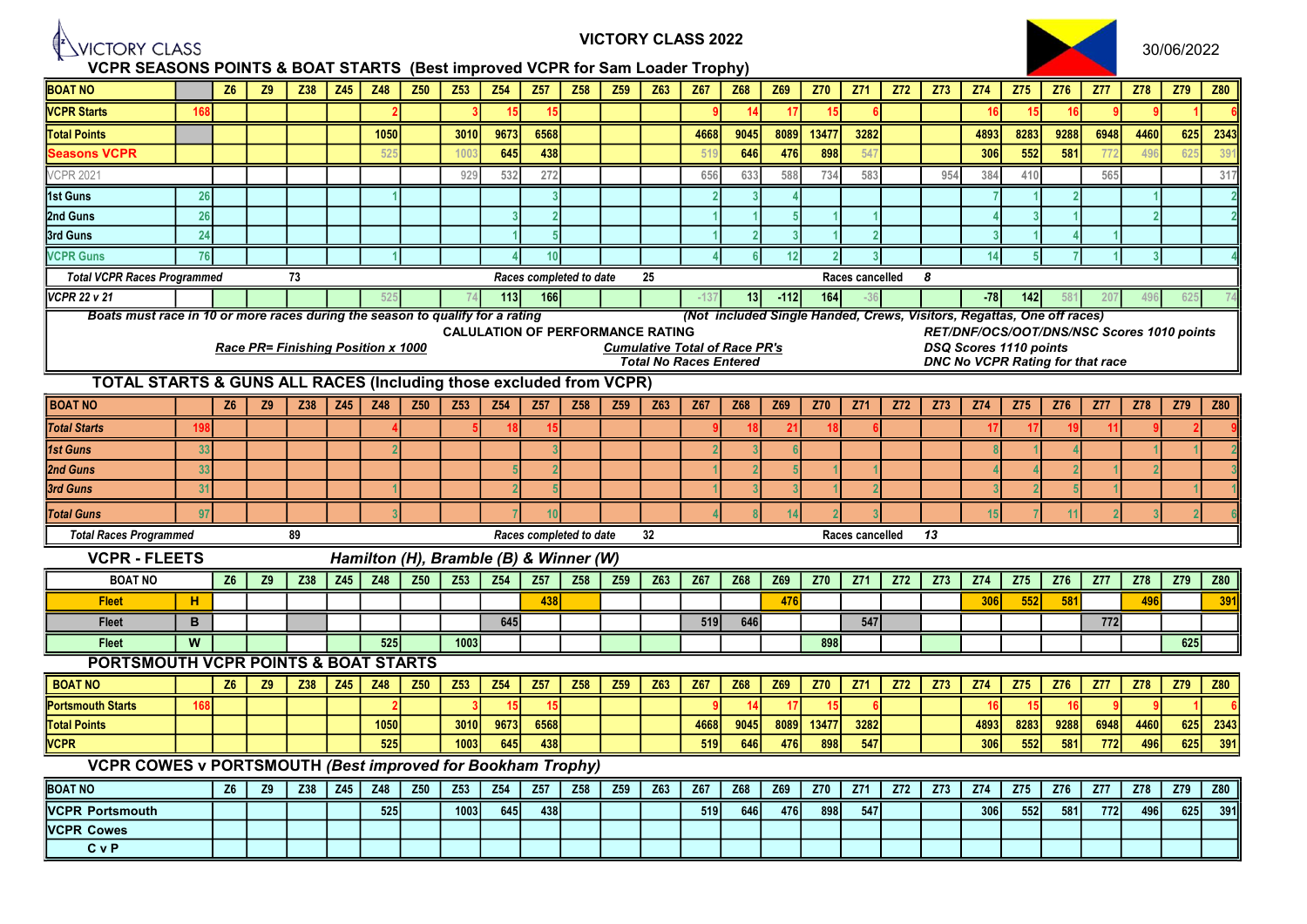

VICTORY CLASS 2022



VCPR SEASONS POINTS & BOAT STARTS (Best improved VCPR for Sam Loader Trophy) BOAT NO Z6 Z9 Z38 Z45 Z48 Z50 Z53 Z54 Z57 Z58 Z59 Z63 Z67 Z68 Z69 Z70 Z71 Z72 Z73 Z74 Z75 Z76 Z77 Z78 Z79 Z80 <mark>VCPR Starts | 168 | | | | 2 | 3 | 15 | | | 9 | 14 | 17 | 15 | 6 | | | 16 | 15 | 9 | 1 | 6</mark> | Total Points 1050 3010 9673 6568 4668 9045 8089 13477 3282 4893 8283 9288 6948 4460 625 2343 Seasons VCPR 525 1003 645<mark> 438</mark> 519 646 476 898 547 306<mark> 552 581</mark> 772 496 625 391 VCPR 2021 929 532 272 656 633 588 734 583 954 384 410 565 317 1st Guns 26 1 3 2 3 4 7 1 2 1 2 2nd Guns | 26 | | | | | | | 3 | 2 | | | | 1 | 5 | 1 | | | | 4 | 3 | 1 | | | | | | 3rd Guns 24 1 5 1 2 3 1 2 3 1 4 1 VCPR Guns 76 1 4 10 4 6 12 2 3 14 5 7 1 3 4 Total VCPR Races Programmed and T3 and Total Races completed to date and 25 Races cancelled 8 Races cancelled 8 **VCPR 22 v 21** | | | 525 | 74 **113 166 | | | -**137 **13 -112 164 -**36 | | -**78 142** 581 207 496 625 74 Boats must race in 10 or more races during the season to qualify for a rating (Not included Single Handed, Crews, Visitors, Regattas, One off races) CALULATION OF PERFORMANCE RATING **RET/DNF/OCS/OOT/DNS/NSC Scores 1010 points** Race PR= Finishing Position x 1000 Cumulative Total of Race PR's DSQ Scores 1110 points<br>Total No Races Entered Total Cumulative Total of Races Entered DNC No VCPR Rating fo DNC No VCPR Rating for that race TOTAL STARTS & GUNS ALL RACES (Including those excluded from VCPR) BOAT NO Z6 Z9 Z38 Z45 Z48 Z50 Z53 Z54 Z57 Z58 Z59 Z63 Z67 Z68 Z69 Z70 Z71 Z72 Z73 Z74 Z75 Z76 Z77 Z78 Z79 Z80 198 | | | | 4 | 5 18 15 | | 9 18 21 18 6 | | 17 17 19 11 9 2 9 1st Guns 33 2 3 2 3 6 8 1 4 1 1 2 2nd Guns | 33 | | | | | | 5 2 | | | 1 2 5 1 1 | | 4 4 2 1 2 | 3 3rd Guns 31 1 1 1 1 1 2 5 1 3 3 4 2 5 1 3 2 5 1 1 1 <mark>Total Guns | 97</mark> | | | 3 | | 7 10 | | 4 8 14 2 3 | | 15 7 11 2 3 2 6 Total Races Programmed and the settlem and the Races completed to date and the Races cancelled 13 Races cancelled 13 VCPR - FLEETS Hamilton (H), Bramble (B) & Winner (W) Z6 | Z9 | Z38 | Z45 | Z48 | Z50 | Z53 | Z54 | Z57 | Z58 | Z59 | Z63 | Z67 | Z68 | Z69 | Z70 | Z73 | Z73 | Z74 | Z75 | Z76 | Z77 | Z78 | Z79 | Z80 H 438 476 306 552 581 496 391 B | | | | | | | | | 645 | | | | | | 519 646 | | | 547 | | | | | | | | | 772 W 525 1003 898 625 PORTSMOUTH VCPR POINTS & BOAT STARTS BOAT NO | | Z6 | Z9 | Z38 | Z45 | Z48 | Z50 | Z53 | Z54 | Z58 | Z58 | Z58 | Z68 | Z70 | Z73 | Z73 | Z73 | Z75 | Z75 | Z77 | Z78 | Z79 | Z80 Portsmouth Starts | 168 | | | | | 2 | 3 | 15 | 15 | | 9 | 14 | 17 | 15 | 6 | | | | 16 | 15 | 16 | 9 | 9 | 1 | 6 Total Points 1050 3010 9673 6568 4668 9045 8089 13477 3282 4893 8283 9288 6948 6948 625 2343 VCPR 525 1003 645 438 519 646 476 898 547 306 552 581 772 496 625 391 VCPR COWES v PORTSMOUTH (Best improved for Bookham Trophy) BOAT NO | Z6 | Z9 | Z38 | Z45 | Z48 | Z50 | Z53 | Z54 | Z57 | Z58 | Z59 | Z58 | Z69 | Z70 | Z70 | Z73 | Z73 | Z73 | Z74 | Z75 | Z75 | Z77 | Z78 | Z79 | Z80 VCPR Portsmouth 525 1003 645 438 519 646 476 898 547 306 552 581 772 496 625 391 VCPR Cowes C v P BOAT NO **Fleet** Fleet Fleet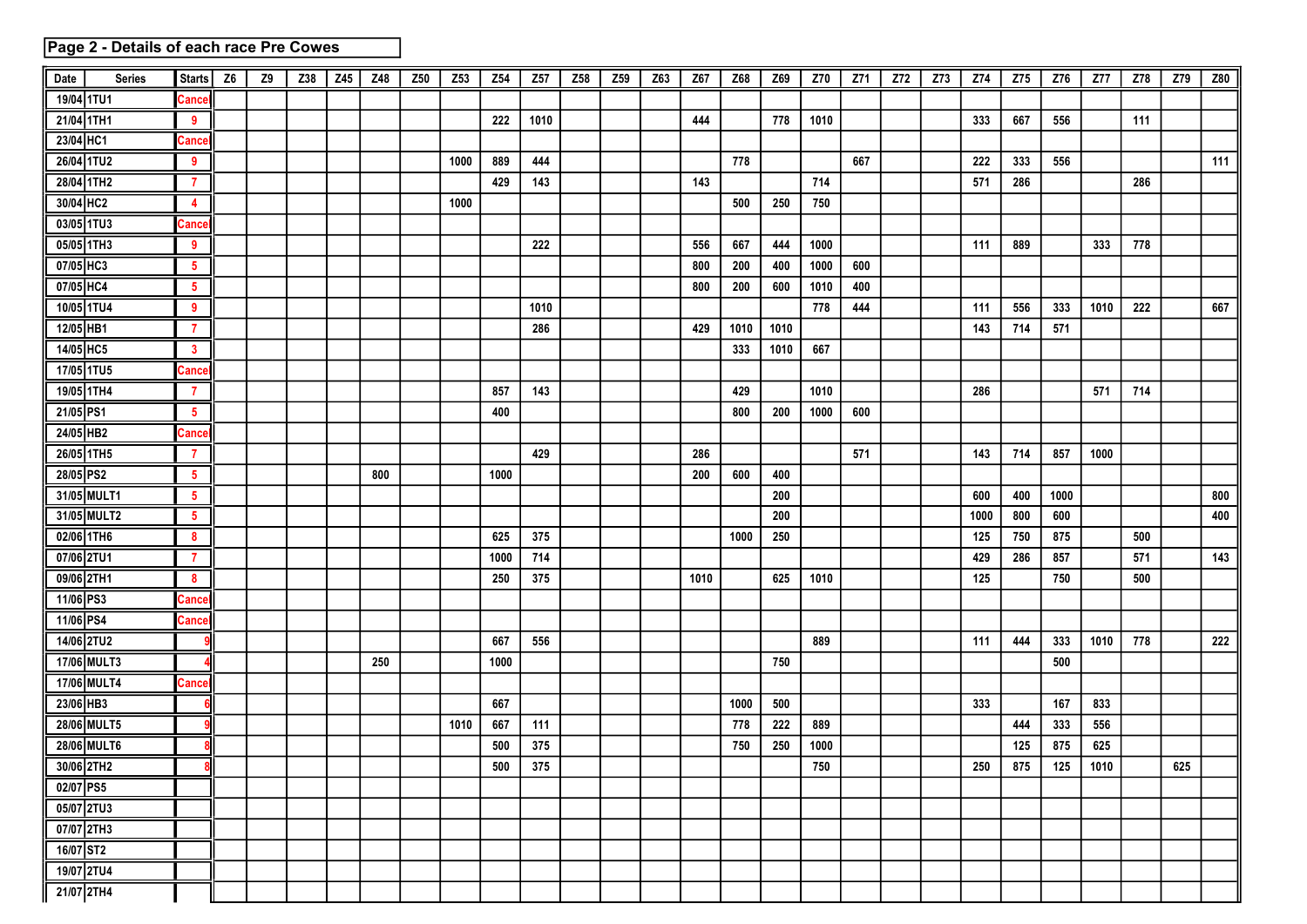## Page 2 - Details of each race Pre Cowes

| Date       | <b>Series</b> | <b>Starts</b>           | Z <sub>6</sub> | Z9 | Z38 | Z45 | Z48 | Z50 | Z53  | Z54   | Z57  | Z58 | Z59 | Z63 | Z67  | Z68  | Z69  | Z70              | Z71 | Z72 | Z73 | Z74  | Z75 | Z76  | Z77  | Z78 | Z79 | Z80 |
|------------|---------------|-------------------------|----------------|----|-----|-----|-----|-----|------|-------|------|-----|-----|-----|------|------|------|------------------|-----|-----|-----|------|-----|------|------|-----|-----|-----|
| 19/04 1TU1 |               | Cance                   |                |    |     |     |     |     |      |       |      |     |     |     |      |      |      |                  |     |     |     |      |     |      |      |     |     |     |
| 21/04 1TH1 |               | 9                       |                |    |     |     |     |     |      | 222   | 1010 |     |     |     | 444  |      | 778  | 1010             |     |     |     | 333  | 667 | 556  |      | 111 |     |     |
| 23/04 HC1  |               | Cance                   |                |    |     |     |     |     |      |       |      |     |     |     |      |      |      |                  |     |     |     |      |     |      |      |     |     |     |
| 26/04 1TU2 |               | 9                       |                |    |     |     |     |     | 1000 | 889   | 444  |     |     |     |      | 778  |      |                  | 667 |     |     | 222  | 333 | 556  |      |     |     | 111 |
| 28/04 1TH2 |               | $\overline{7}$          |                |    |     |     |     |     |      | 429   | 143  |     |     |     | 143  |      |      | 714              |     |     |     | 571  | 286 |      |      | 286 |     |     |
| 30/04 HC2  |               | 4                       |                |    |     |     |     |     | 1000 |       |      |     |     |     |      | 500  | 250  | 750              |     |     |     |      |     |      |      |     |     |     |
| 03/05 1TU3 |               | Cance                   |                |    |     |     |     |     |      |       |      |     |     |     |      |      |      |                  |     |     |     |      |     |      |      |     |     |     |
| 05/05 1TH3 |               | 9                       |                |    |     |     |     |     |      |       | 222  |     |     |     | 556  | 667  | 444  | 1000             |     |     |     | 111  | 889 |      | 333  | 778 |     |     |
| 07/05 HC3  |               | $5\phantom{.0}$         |                |    |     |     |     |     |      |       |      |     |     |     | 800  | 200  | 400  | 1000             | 600 |     |     |      |     |      |      |     |     |     |
| 07/05 HC4  |               | $5^{\circ}$             |                |    |     |     |     |     |      |       |      |     |     |     | 800  | 200  | 600  | 1010             | 400 |     |     |      |     |      |      |     |     |     |
| 10/05 1TU4 |               | 9                       |                |    |     |     |     |     |      |       | 1010 |     |     |     |      |      |      | 778              | 444 |     |     | 111  | 556 | 333  | 1010 | 222 |     | 667 |
| 12/05 HB1  |               | $\mathbf{7}$            |                |    |     |     |     |     |      |       | 286  |     |     |     | 429  | 1010 | 1010 |                  |     |     |     | 143  | 714 | 571  |      |     |     |     |
| 14/05 HC5  |               | $\mathbf{3}$            |                |    |     |     |     |     |      |       |      |     |     |     |      | 333  | 1010 | 667              |     |     |     |      |     |      |      |     |     |     |
| 17/05 1TU5 |               | Cance                   |                |    |     |     |     |     |      |       |      |     |     |     |      |      |      |                  |     |     |     |      |     |      |      |     |     |     |
| 19/05 1TH4 |               | $\overline{7}$          |                |    |     |     |     |     |      | 857   | 143  |     |     |     |      | 429  |      | 1010             |     |     |     | 286  |     |      | 571  | 714 |     |     |
| 21/05 PS1  |               | $5\phantom{.0}$         |                |    |     |     |     |     |      | 400   |      |     |     |     |      | 800  | 200  | 1000             | 600 |     |     |      |     |      |      |     |     |     |
| 24/05 HB2  |               | Cance                   |                |    |     |     |     |     |      |       |      |     |     |     |      |      |      |                  |     |     |     |      |     |      |      |     |     |     |
| 26/05 1TH5 |               | 7                       |                |    |     |     |     |     |      |       | 429  |     |     |     | 286  |      |      |                  | 571 |     |     | 143  | 714 | 857  | 1000 |     |     |     |
| 28/05 PS2  |               | $5\phantom{.0}$         |                |    |     |     | 800 |     |      | 1000  |      |     |     |     | 200  | 600  | 400  |                  |     |     |     |      |     |      |      |     |     |     |
|            | 31/05 MULT1   | $\overline{\mathbf{5}}$ |                |    |     |     |     |     |      |       |      |     |     |     |      |      | 200  |                  |     |     |     | 600  | 400 | 1000 |      |     |     | 800 |
|            | 31/05 MULT2   | $\sqrt{5}$              |                |    |     |     |     |     |      |       |      |     |     |     |      |      | 200  |                  |     |     |     | 1000 | 800 | 600  |      |     |     | 400 |
| 02/06 1TH6 |               | 8                       |                |    |     |     |     |     |      | 625   | 375  |     |     |     |      | 1000 | 250  |                  |     |     |     | 125  | 750 | 875  |      | 500 |     |     |
| 07/06 2TU1 |               | $\overline{7}$          |                |    |     |     |     |     |      | 1000  | 714  |     |     |     |      |      |      |                  |     |     |     | 429  | 286 | 857  |      | 571 |     | 143 |
| 09/06 2TH1 |               | 8                       |                |    |     |     |     |     |      | 250   | 375  |     |     |     | 1010 |      | 625  | 1010             |     |     |     | 125  |     | 750  |      | 500 |     |     |
| 11/06 PS3  |               | Cance                   |                |    |     |     |     |     |      |       |      |     |     |     |      |      |      |                  |     |     |     |      |     |      |      |     |     |     |
| 11/06 PS4  |               | Cance                   |                |    |     |     |     |     |      |       |      |     |     |     |      |      |      |                  |     |     |     |      |     |      |      |     |     |     |
| 14/06 2TU2 |               |                         |                |    |     |     |     |     |      | 667   | 556  |     |     |     |      |      |      | 889              |     |     |     | 111  | 444 | 333  | 1010 | 778 |     | 222 |
|            | 17/06 MULT3   |                         |                |    |     |     | 250 |     |      | 1000  |      |     |     |     |      |      | 750  |                  |     |     |     |      |     | 500  |      |     |     |     |
|            | 17/06 MULT4   | Cance                   |                |    |     |     |     |     |      |       |      |     |     |     |      |      |      |                  |     |     |     |      |     |      |      |     |     |     |
| 23/06 HB3  |               |                         |                |    |     |     |     |     |      | 667   |      |     |     |     |      | 1000 | 500  |                  |     |     |     | 333  |     | 167  | 833  |     |     |     |
|            | 28/06 MULT5   |                         |                |    |     |     |     |     | 1010 | 667   | 111  |     |     |     |      | 778  | 222  | 889              |     |     |     |      | 444 | 333  | 556  |     |     |     |
|            | 28/06 MULT6   |                         |                |    |     |     |     |     |      | 500   | 375  |     |     |     |      | 750  | 250  | 1000             |     |     |     |      | 125 | 875  | 625  |     |     |     |
|            | 30/06 2TH2    | 81                      |                |    |     |     |     |     |      | $500$ | 375  |     |     |     |      |      |      | $\overline{750}$ |     |     |     | 250  | 875 | 125  | 1010 |     | 625 |     |
| 02/07 PS5  |               |                         |                |    |     |     |     |     |      |       |      |     |     |     |      |      |      |                  |     |     |     |      |     |      |      |     |     |     |
| 05/07 2TU3 |               |                         |                |    |     |     |     |     |      |       |      |     |     |     |      |      |      |                  |     |     |     |      |     |      |      |     |     |     |
|            | 07/07 2TH3    |                         |                |    |     |     |     |     |      |       |      |     |     |     |      |      |      |                  |     |     |     |      |     |      |      |     |     |     |
| 16/07 ST2  |               |                         |                |    |     |     |     |     |      |       |      |     |     |     |      |      |      |                  |     |     |     |      |     |      |      |     |     |     |
| 19/07 2TU4 |               |                         |                |    |     |     |     |     |      |       |      |     |     |     |      |      |      |                  |     |     |     |      |     |      |      |     |     |     |
| 21/07 2TH4 |               |                         |                |    |     |     |     |     |      |       |      |     |     |     |      |      |      |                  |     |     |     |      |     |      |      |     |     |     |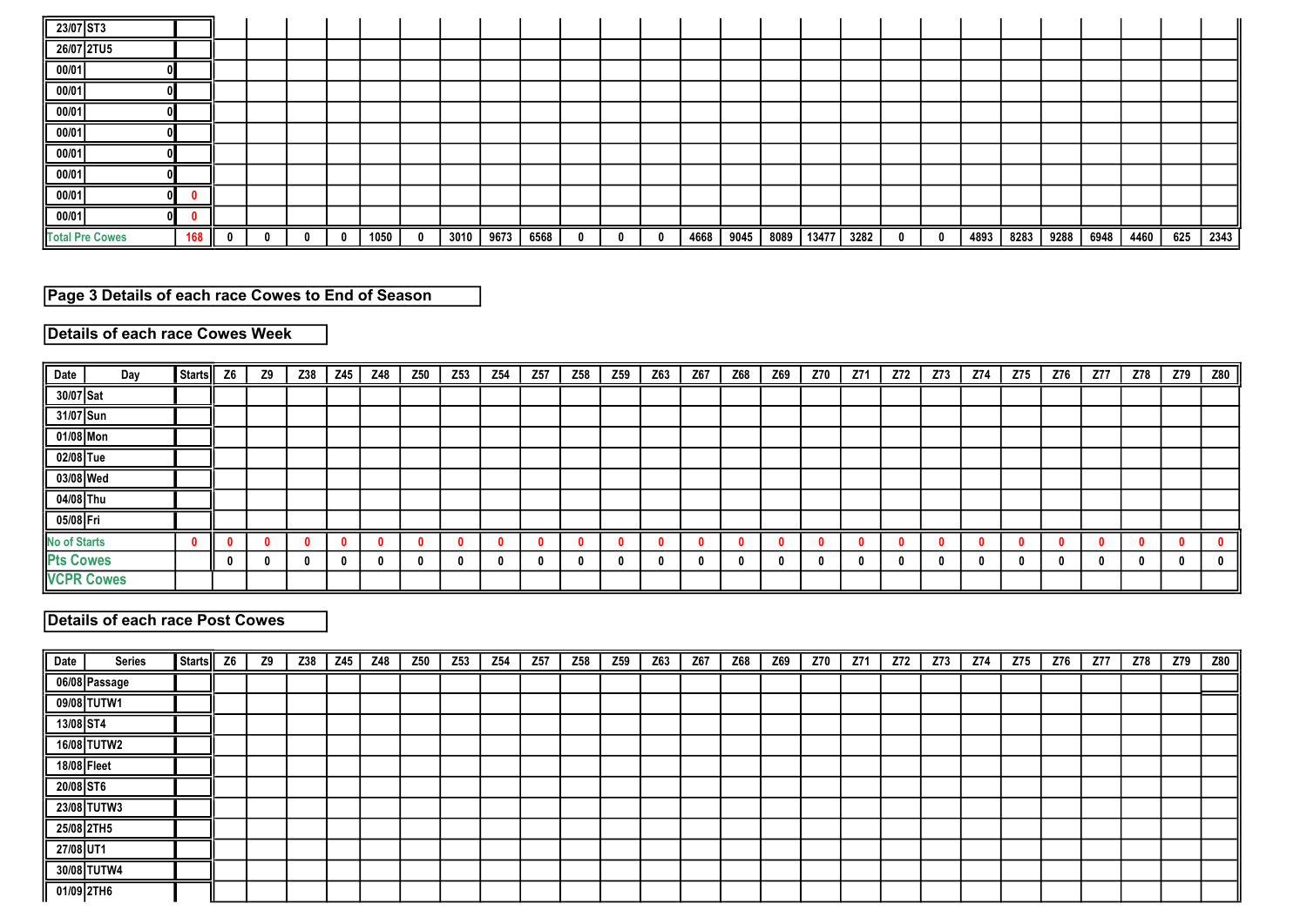| 23/07 ST3              |     |  |  |      |      |      |      |  |      |      |      |       |      |  |      |      |      |      |      |     |      |
|------------------------|-----|--|--|------|------|------|------|--|------|------|------|-------|------|--|------|------|------|------|------|-----|------|
| 26/07 2TU5             |     |  |  |      |      |      |      |  |      |      |      |       |      |  |      |      |      |      |      |     |      |
| 00/01                  |     |  |  |      |      |      |      |  |      |      |      |       |      |  |      |      |      |      |      |     |      |
| 00/01                  |     |  |  |      |      |      |      |  |      |      |      |       |      |  |      |      |      |      |      |     |      |
| 00/01                  |     |  |  |      |      |      |      |  |      |      |      |       |      |  |      |      |      |      |      |     |      |
| 00/01                  |     |  |  |      |      |      |      |  |      |      |      |       |      |  |      |      |      |      |      |     |      |
| 00/01                  |     |  |  |      |      |      |      |  |      |      |      |       |      |  |      |      |      |      |      |     |      |
| 00/01                  |     |  |  |      |      |      |      |  |      |      |      |       |      |  |      |      |      |      |      |     |      |
| 00/01                  |     |  |  |      |      |      |      |  |      |      |      |       |      |  |      |      |      |      |      |     |      |
| 00/01                  |     |  |  |      |      |      |      |  |      |      |      |       |      |  |      |      |      |      |      |     |      |
| <b>Total Pre Cowes</b> | 168 |  |  | 1050 | 3010 | 9673 | 6568 |  | 4668 | 9045 | 8089 | 13477 | 3282 |  | 4893 | 8283 | 9288 | 6948 | 4460 | 625 | 2343 |

# Page 3 Details of each race Cowes to End of Season

## Details of each race Cowes Week

| Date<br>Day         | Starts | Z <sub>6</sub> | Z9 | Z38 | Z45 | Z48 | Z50 | Z <sub>53</sub> | Z54 | Z57 | Z58 | Z59 | Z63 | Z67 | Z68 | Z69 | Z70 | Z71 | Z72 | Z73 | Z74 | Z75 | Z76 | <b>Z77</b> | Z78 | Z79 | Z80 |
|---------------------|--------|----------------|----|-----|-----|-----|-----|-----------------|-----|-----|-----|-----|-----|-----|-----|-----|-----|-----|-----|-----|-----|-----|-----|------------|-----|-----|-----|
| 30/07 Sat           |        |                |    |     |     |     |     |                 |     |     |     |     |     |     |     |     |     |     |     |     |     |     |     |            |     |     |     |
| 31/07 Sun           |        |                |    |     |     |     |     |                 |     |     |     |     |     |     |     |     |     |     |     |     |     |     |     |            |     |     |     |
| 01/08 Mon           |        |                |    |     |     |     |     |                 |     |     |     |     |     |     |     |     |     |     |     |     |     |     |     |            |     |     |     |
| 02/08 Tue           |        |                |    |     |     |     |     |                 |     |     |     |     |     |     |     |     |     |     |     |     |     |     |     |            |     |     |     |
| 03/08 Wed           |        |                |    |     |     |     |     |                 |     |     |     |     |     |     |     |     |     |     |     |     |     |     |     |            |     |     |     |
| 04/08 Thu           |        |                |    |     |     |     |     |                 |     |     |     |     |     |     |     |     |     |     |     |     |     |     |     |            |     |     |     |
| 05/08 Fri           |        |                |    |     |     |     |     |                 |     |     |     |     |     |     |     |     |     |     |     |     |     |     |     |            |     |     |     |
| <b>No of Starts</b> |        |                |    |     |     |     |     |                 |     |     |     |     |     |     |     |     |     |     |     |     |     |     |     |            |     |     |     |
| <b>Pts Cowes</b>    |        |                |    |     |     |     |     |                 | n   |     |     |     |     |     |     |     | 0   |     |     |     |     |     |     |            |     |     |     |
| <b>VCPR Cowes</b>   |        |                |    |     |     |     |     |                 |     |     |     |     |     |     |     |     |     |     |     |     |     |     |     |            |     |     |     |

# Details of each race Post Cowes

| Date        | <b>Series</b> | Starts | Z <sub>6</sub> | <b>Z9</b> | Z38 | Z45 | Z48 | Z50 | Z53 | Z54 | Z57 | Z58 | Z59 | Z63 | Z67 | Z68 | Z69 | Z70 | Z71 | Z72 | Z73 | Z74 | Z75 | Z76 | Z77 | Z78 | Z79 | Z80 $\parallel$ |
|-------------|---------------|--------|----------------|-----------|-----|-----|-----|-----|-----|-----|-----|-----|-----|-----|-----|-----|-----|-----|-----|-----|-----|-----|-----|-----|-----|-----|-----|-----------------|
|             | 06/08 Passage |        |                |           |     |     |     |     |     |     |     |     |     |     |     |     |     |     |     |     |     |     |     |     |     |     |     |                 |
|             | 09/08 TUTW1   |        |                |           |     |     |     |     |     |     |     |     |     |     |     |     |     |     |     |     |     |     |     |     |     |     |     |                 |
| 13/08 ST4   |               |        |                |           |     |     |     |     |     |     |     |     |     |     |     |     |     |     |     |     |     |     |     |     |     |     |     |                 |
|             | 16/08 TUTW2   |        |                |           |     |     |     |     |     |     |     |     |     |     |     |     |     |     |     |     |     |     |     |     |     |     |     |                 |
| 18/08 Fleet |               |        |                |           |     |     |     |     |     |     |     |     |     |     |     |     |     |     |     |     |     |     |     |     |     |     |     |                 |
| 20/08 ST6   |               |        |                |           |     |     |     |     |     |     |     |     |     |     |     |     |     |     |     |     |     |     |     |     |     |     |     |                 |
|             | 23/08 TUTW3   |        |                |           |     |     |     |     |     |     |     |     |     |     |     |     |     |     |     |     |     |     |     |     |     |     |     |                 |
|             | 25/08 2TH5    |        |                |           |     |     |     |     |     |     |     |     |     |     |     |     |     |     |     |     |     |     |     |     |     |     |     |                 |
| 27/08 UT1   |               |        |                |           |     |     |     |     |     |     |     |     |     |     |     |     |     |     |     |     |     |     |     |     |     |     |     |                 |
|             | 30/08 TUTW4   |        |                |           |     |     |     |     |     |     |     |     |     |     |     |     |     |     |     |     |     |     |     |     |     |     |     |                 |
|             | 01/09 2TH6    |        |                |           |     |     |     |     |     |     |     |     |     |     |     |     |     |     |     |     |     |     |     |     |     |     |     |                 |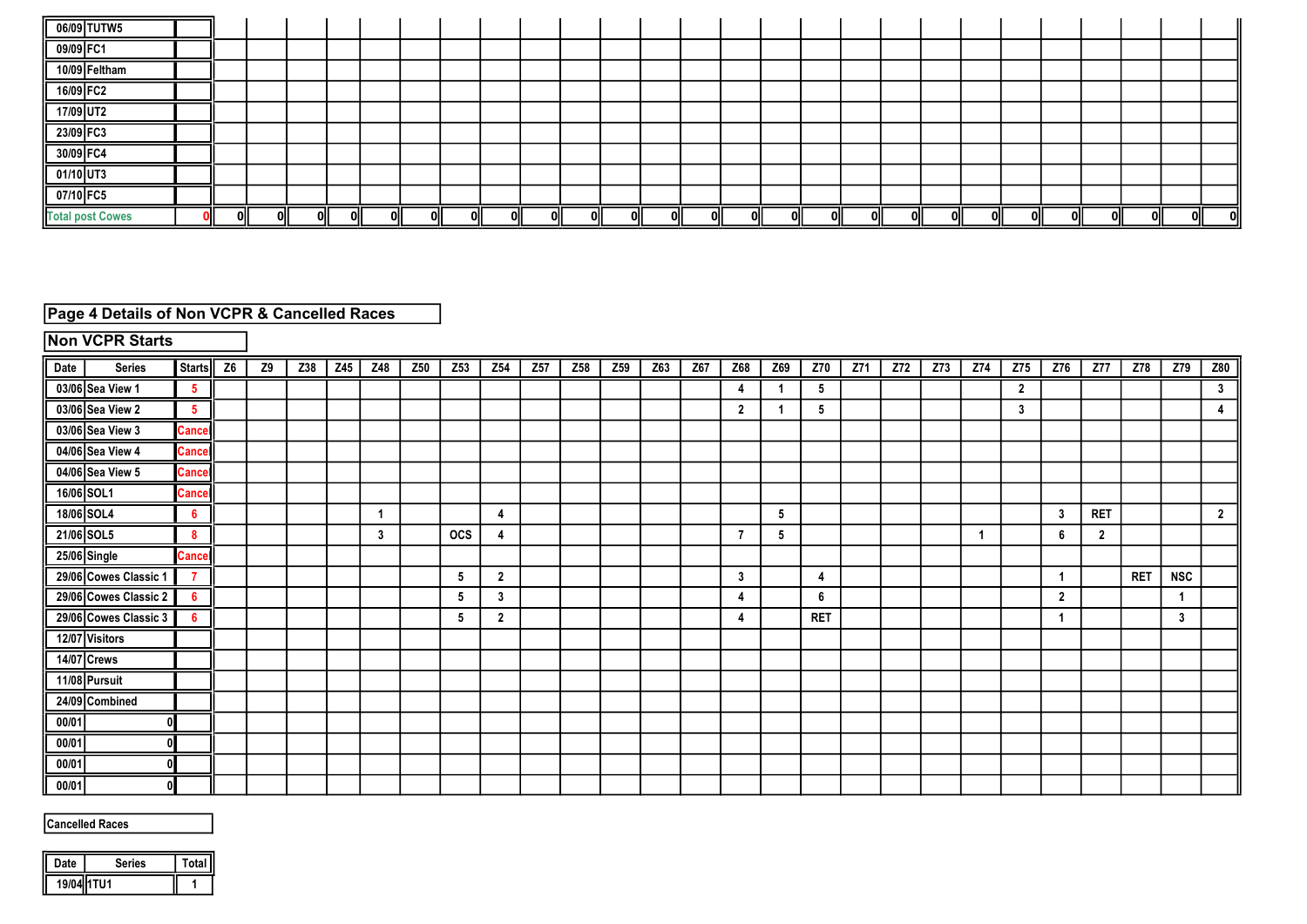| 06/09 TUTW5             |     |     |    |  |    |   |    |    |       |      |     |     |     |    |     |    |     |    |    |    |    |   |  |
|-------------------------|-----|-----|----|--|----|---|----|----|-------|------|-----|-----|-----|----|-----|----|-----|----|----|----|----|---|--|
| 09/09 FC1               |     |     |    |  |    |   |    |    |       |      |     |     |     |    |     |    |     |    |    |    |    |   |  |
| 10/09 Feltham           |     |     |    |  |    |   |    |    |       |      |     |     |     |    |     |    |     |    |    |    |    |   |  |
| 16/09 FC2               |     |     |    |  |    |   |    |    |       |      |     |     |     |    |     |    |     |    |    |    |    |   |  |
| 17/09 UT2               |     |     |    |  |    |   |    |    |       |      |     |     |     |    |     |    |     |    |    |    |    |   |  |
| 23/09 FC3               |     |     |    |  |    |   |    |    |       |      |     |     |     |    |     |    |     |    |    |    |    |   |  |
| 30/09 FC4               |     |     |    |  |    |   |    |    |       |      |     |     |     |    |     |    |     |    |    |    |    |   |  |
| 01/10 UT3               |     |     |    |  |    |   |    |    |       |      |     |     |     |    |     |    |     |    |    |    |    |   |  |
| 07/10 FC5               |     |     |    |  |    |   |    |    |       |      |     |     |     |    |     |    |     |    |    |    |    |   |  |
| <b>Total post Cowes</b> | OII | ΟII | ωı |  | ωı | n | ωI | nı | - Oll | -nii | 0II | 0II | 0II | ΩI | 0II | ωı | 0II | ωı | ωı | ωı | ωı | U |  |

## Page 4 Details of Non VCPR & Cancelled Races

# Non VCPR Starts

| Date  | <b>Series</b>         | <b>Starts</b>   | Z <sub>6</sub> | <b>Z9</b> | Z38 | Z45 | Z48 | Z50 | Z53        | Z54            | Z <sub>57</sub> | Z58 | Z59 | Z63 | Z67 | Z68            | Z69 | Z70        | Z71 | Z72 | Z73 | Z74 | Z75          | Z76            | <b>Z77</b>     | Z78        | Z79          | Z80              |
|-------|-----------------------|-----------------|----------------|-----------|-----|-----|-----|-----|------------|----------------|-----------------|-----|-----|-----|-----|----------------|-----|------------|-----|-----|-----|-----|--------------|----------------|----------------|------------|--------------|------------------|
|       | 03/06 Sea View 1      | $5\phantom{.0}$ |                |           |     |     |     |     |            |                |                 |     |     |     |     | 4              | -1  | 5          |     |     |     |     | $\mathbf{2}$ |                |                |            |              | $\mathbf{3}$     |
|       | 03/06 Sea View 2      | -5              |                |           |     |     |     |     |            |                |                 |     |     |     |     | $\overline{2}$ |     | 5          |     |     |     |     | 3            |                |                |            |              | 4                |
|       | 03/06 Sea View 3      | <b>Cance</b>    |                |           |     |     |     |     |            |                |                 |     |     |     |     |                |     |            |     |     |     |     |              |                |                |            |              |                  |
|       | 04/06 Sea View 4      | <b>Cance</b>    |                |           |     |     |     |     |            |                |                 |     |     |     |     |                |     |            |     |     |     |     |              |                |                |            |              |                  |
|       | 04/06 Sea View 5      | <b>Cance</b>    |                |           |     |     |     |     |            |                |                 |     |     |     |     |                |     |            |     |     |     |     |              |                |                |            |              |                  |
|       | 16/06 SOL1            | <b>Cance</b>    |                |           |     |     |     |     |            |                |                 |     |     |     |     |                |     |            |     |     |     |     |              |                |                |            |              |                  |
|       | 18/06 SOL4            | 6               |                |           |     |     |     |     |            | 4              |                 |     |     |     |     |                | 5   |            |     |     |     |     |              | 3              | <b>RET</b>     |            |              | $\boldsymbol{2}$ |
|       | 21/06 SOL5            | 8               |                |           |     |     | 3   |     | <b>OCS</b> | 4              |                 |     |     |     |     |                | 5   |            |     |     |     | -1  |              | 6              | $\overline{2}$ |            |              |                  |
|       | 25/06 Single          | <b>Cancel</b>   |                |           |     |     |     |     |            |                |                 |     |     |     |     |                |     |            |     |     |     |     |              |                |                |            |              |                  |
|       | 29/06 Cowes Classic 1 | $\overline{7}$  |                |           |     |     |     |     | 5          | $\overline{2}$ |                 |     |     |     |     | 3              |     | 4          |     |     |     |     |              |                |                | <b>RET</b> | <b>NSC</b>   |                  |
|       | 29/06 Cowes Classic 2 | 6               |                |           |     |     |     |     | 5          | 3              |                 |     |     |     |     | 4              |     | 6          |     |     |     |     |              | $\overline{2}$ |                |            |              |                  |
|       | 29/06 Cowes Classic 3 | 6               |                |           |     |     |     |     | 5          | $\overline{2}$ |                 |     |     |     |     | L              |     | <b>RET</b> |     |     |     |     |              | 1              |                |            | $\mathbf{3}$ |                  |
|       | 12/07 Visitors        |                 |                |           |     |     |     |     |            |                |                 |     |     |     |     |                |     |            |     |     |     |     |              |                |                |            |              |                  |
|       | 14/07 Crews           |                 |                |           |     |     |     |     |            |                |                 |     |     |     |     |                |     |            |     |     |     |     |              |                |                |            |              |                  |
|       | 11/08 Pursuit         |                 |                |           |     |     |     |     |            |                |                 |     |     |     |     |                |     |            |     |     |     |     |              |                |                |            |              |                  |
|       | 24/09 Combined        |                 |                |           |     |     |     |     |            |                |                 |     |     |     |     |                |     |            |     |     |     |     |              |                |                |            |              |                  |
| 00/01 |                       |                 |                |           |     |     |     |     |            |                |                 |     |     |     |     |                |     |            |     |     |     |     |              |                |                |            |              |                  |
| 00/01 |                       |                 |                |           |     |     |     |     |            |                |                 |     |     |     |     |                |     |            |     |     |     |     |              |                |                |            |              |                  |
| 00/01 |                       |                 |                |           |     |     |     |     |            |                |                 |     |     |     |     |                |     |            |     |     |     |     |              |                |                |            |              |                  |
| 00/01 |                       |                 |                |           |     |     |     |     |            |                |                 |     |     |     |     |                |     |            |     |     |     |     |              |                |                |            |              |                  |

#### Cancelled Races

| Jate | Series | otal |
|------|--------|------|
|      | TU1    |      |